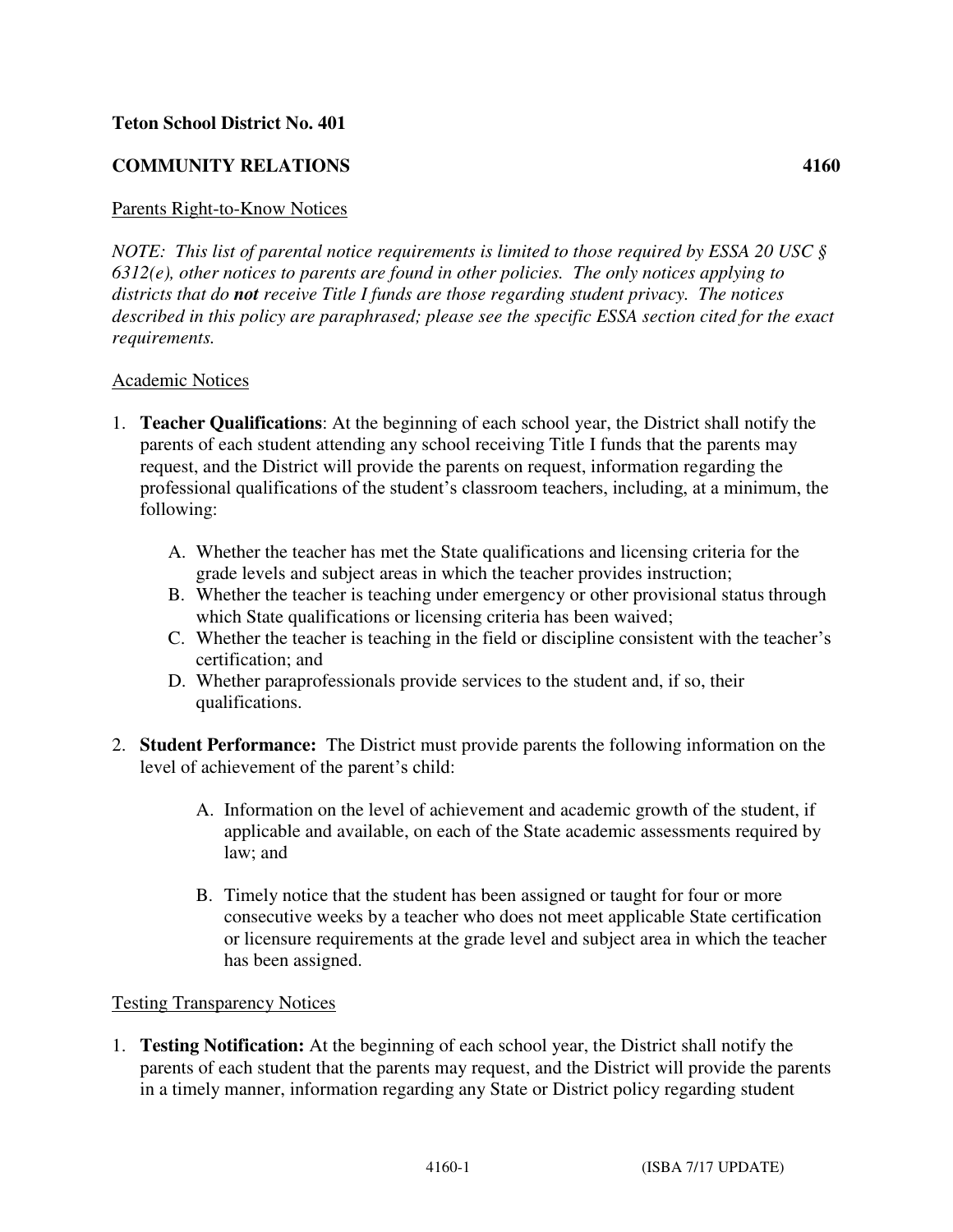## **Teton School District No. 401**

## **COMMUNITY RELATIONS 4160**

## Parents Right-to-Know Notices

*NOTE: This list of parental notice requirements is limited to those required by ESSA 20 USC § 6312(e), other notices to parents are found in other policies. The only notices applying to districts that do not receive Title I funds are those regarding student privacy. The notices described in this policy are paraphrased; please see the specific ESSA section cited for the exact requirements.*

## Academic Notices

- 1. **Teacher Qualifications**: At the beginning of each school year, the District shall notify the parents of each student attending any school receiving Title I funds that the parents may request, and the District will provide the parents on request, information regarding the professional qualifications of the student's classroom teachers, including, at a minimum, the following:
	- A. Whether the teacher has met the State qualifications and licensing criteria for the grade levels and subject areas in which the teacher provides instruction;
	- B. Whether the teacher is teaching under emergency or other provisional status through which State qualifications or licensing criteria has been waived;
	- C. Whether the teacher is teaching in the field or discipline consistent with the teacher's certification; and
	- D. Whether paraprofessionals provide services to the student and, if so, their qualifications.
- 2. **Student Performance:** The District must provide parents the following information on the level of achievement of the parent's child:
	- A. Information on the level of achievement and academic growth of the student, if applicable and available, on each of the State academic assessments required by law; and
	- B. Timely notice that the student has been assigned or taught for four or more consecutive weeks by a teacher who does not meet applicable State certification or licensure requirements at the grade level and subject area in which the teacher has been assigned.

## Testing Transparency Notices

1. **Testing Notification:** At the beginning of each school year, the District shall notify the parents of each student that the parents may request, and the District will provide the parents in a timely manner, information regarding any State or District policy regarding student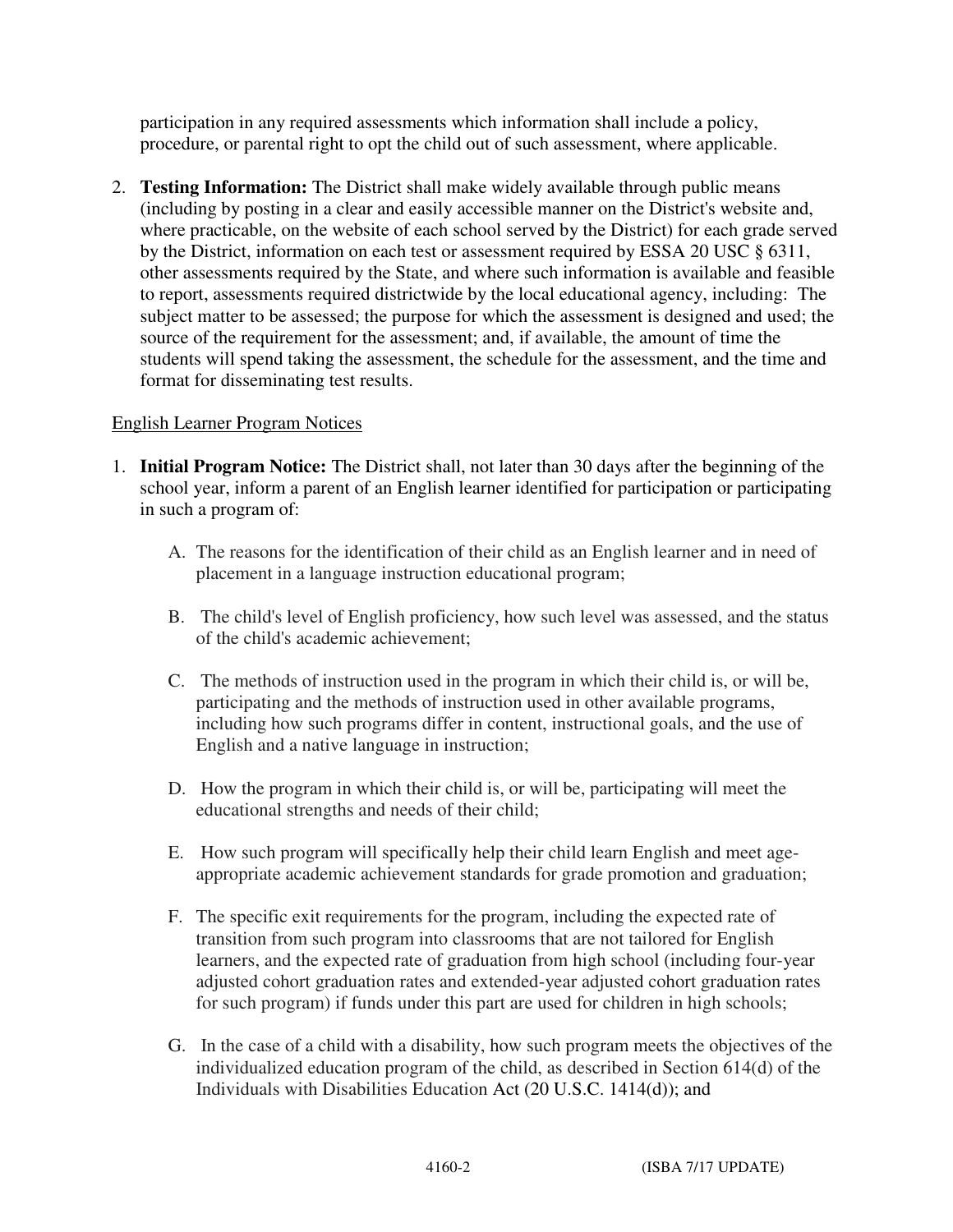participation in any required assessments which information shall include a policy, procedure, or parental right to opt the child out of such assessment, where applicable.

2. **Testing Information:** The District shall make widely available through public means (including by posting in a clear and easily accessible manner on the District's website and, where practicable, on the website of each school served by the District) for each grade served by the District, information on each test or assessment required by ESSA 20 USC § 6311, other assessments required by the State, and where such information is available and feasible to report, assessments required districtwide by the local educational agency, including: The subject matter to be assessed; the purpose for which the assessment is designed and used; the source of the requirement for the assessment; and, if available, the amount of time the students will spend taking the assessment, the schedule for the assessment, and the time and format for disseminating test results.

# English Learner Program Notices

- 1. **Initial Program Notice:** The District shall, not later than 30 days after the beginning of the school year, inform a parent of an English learner identified for participation or participating in such a program of:
	- A. The reasons for the identification of their child as an English learner and in need of placement in a language instruction educational program;
	- B. The child's level of English proficiency, how such level was assessed, and the status of the child's academic achievement;
	- C. The methods of instruction used in the program in which their child is, or will be, participating and the methods of instruction used in other available programs, including how such programs differ in content, instructional goals, and the use of English and a native language in instruction;
	- D. How the program in which their child is, or will be, participating will meet the educational strengths and needs of their child;
	- E. How such program will specifically help their child learn English and meet ageappropriate academic achievement standards for grade promotion and graduation;
	- F. The specific exit requirements for the program, including the expected rate of transition from such program into classrooms that are not tailored for English learners, and the expected rate of graduation from high school (including four-year adjusted cohort graduation rates and extended-year adjusted cohort graduation rates for such program) if funds under this part are used for children in high schools;
	- G. In the case of a child with a disability, how such program meets the objectives of the individualized education program of the child, as described in Section 614(d) of the Individuals with Disabilities Education Act (20 U.S.C. 1414(d)); and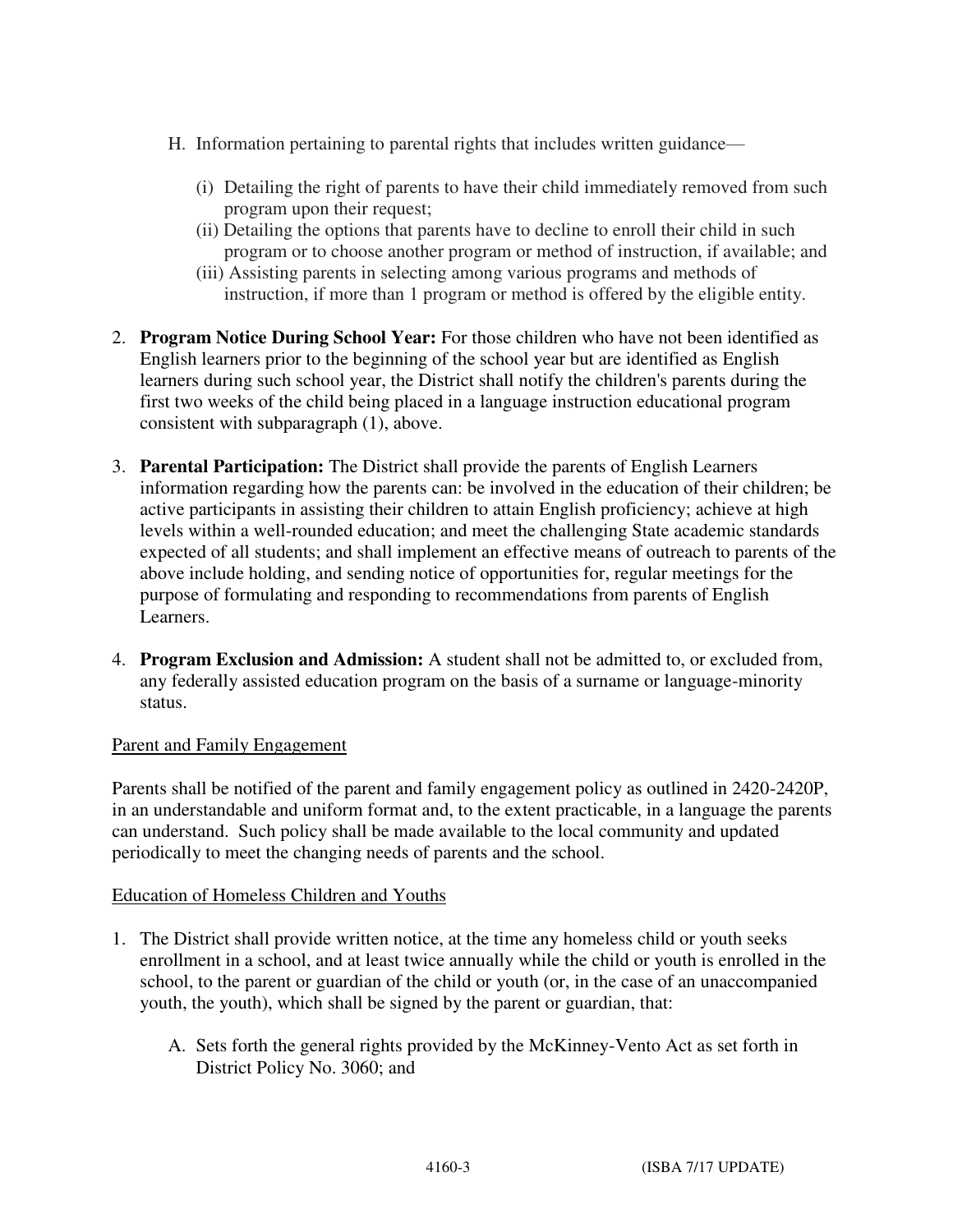- H. Information pertaining to parental rights that includes written guidance—
	- (i) Detailing the right of parents to have their child immediately removed from such program upon their request;
	- (ii) Detailing the options that parents have to decline to enroll their child in such program or to choose another program or method of instruction, if available; and
	- (iii) Assisting parents in selecting among various programs and methods of instruction, if more than 1 program or method is offered by the eligible entity.
- 2. **Program Notice During School Year:** For those children who have not been identified as English learners prior to the beginning of the school year but are identified as English learners during such school year, the District shall notify the children's parents during the first two weeks of the child being placed in a language instruction educational program consistent with subparagraph (1), above.
- 3. **Parental Participation:** The District shall provide the parents of English Learners information regarding how the parents can: be involved in the education of their children; be active participants in assisting their children to attain English proficiency; achieve at high levels within a well-rounded education; and meet the challenging State academic standards expected of all students; and shall implement an effective means of outreach to parents of the above include holding, and sending notice of opportunities for, regular meetings for the purpose of formulating and responding to recommendations from parents of English Learners.
- 4. **Program Exclusion and Admission:** A student shall not be admitted to, or excluded from, any federally assisted education program on the basis of a surname or language-minority status.

## Parent and Family Engagement

Parents shall be notified of the parent and family engagement policy as outlined in 2420-2420P, in an understandable and uniform format and, to the extent practicable, in a language the parents can understand. Such policy shall be made available to the local community and updated periodically to meet the changing needs of parents and the school.

## Education of Homeless Children and Youths

- 1. The District shall provide written notice, at the time any homeless child or youth seeks enrollment in a school, and at least twice annually while the child or youth is enrolled in the school, to the parent or guardian of the child or youth (or, in the case of an unaccompanied youth, the youth), which shall be signed by the parent or guardian, that:
	- A. Sets forth the general rights provided by the McKinney-Vento Act as set forth in District Policy No. 3060; and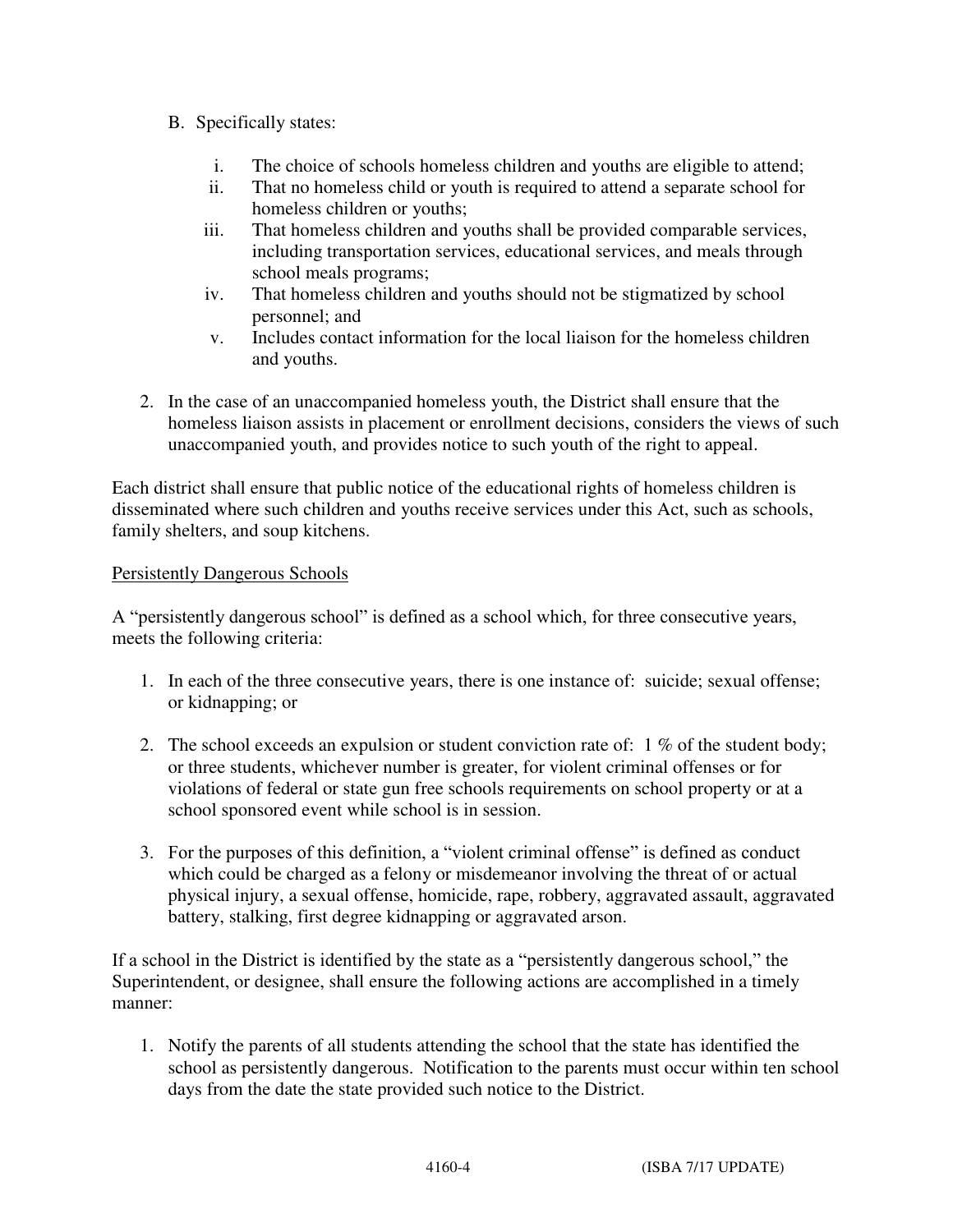- B. Specifically states:
	- i. The choice of schools homeless children and youths are eligible to attend;
	- ii. That no homeless child or youth is required to attend a separate school for homeless children or youths;
	- iii. That homeless children and youths shall be provided comparable services, including transportation services, educational services, and meals through school meals programs;
	- iv. That homeless children and youths should not be stigmatized by school personnel; and
	- v. Includes contact information for the local liaison for the homeless children and youths.
- 2. In the case of an unaccompanied homeless youth, the District shall ensure that the homeless liaison assists in placement or enrollment decisions, considers the views of such unaccompanied youth, and provides notice to such youth of the right to appeal.

Each district shall ensure that public notice of the educational rights of homeless children is disseminated where such children and youths receive services under this Act, such as schools, family shelters, and soup kitchens.

# Persistently Dangerous Schools

A "persistently dangerous school" is defined as a school which, for three consecutive years, meets the following criteria:

- 1. In each of the three consecutive years, there is one instance of: suicide; sexual offense; or kidnapping; or
- 2. The school exceeds an expulsion or student conviction rate of: 1 % of the student body; or three students, whichever number is greater, for violent criminal offenses or for violations of federal or state gun free schools requirements on school property or at a school sponsored event while school is in session.
- 3. For the purposes of this definition, a "violent criminal offense" is defined as conduct which could be charged as a felony or misdemeanor involving the threat of or actual physical injury, a sexual offense, homicide, rape, robbery, aggravated assault, aggravated battery, stalking, first degree kidnapping or aggravated arson.

If a school in the District is identified by the state as a "persistently dangerous school," the Superintendent, or designee, shall ensure the following actions are accomplished in a timely manner:

1. Notify the parents of all students attending the school that the state has identified the school as persistently dangerous. Notification to the parents must occur within ten school days from the date the state provided such notice to the District.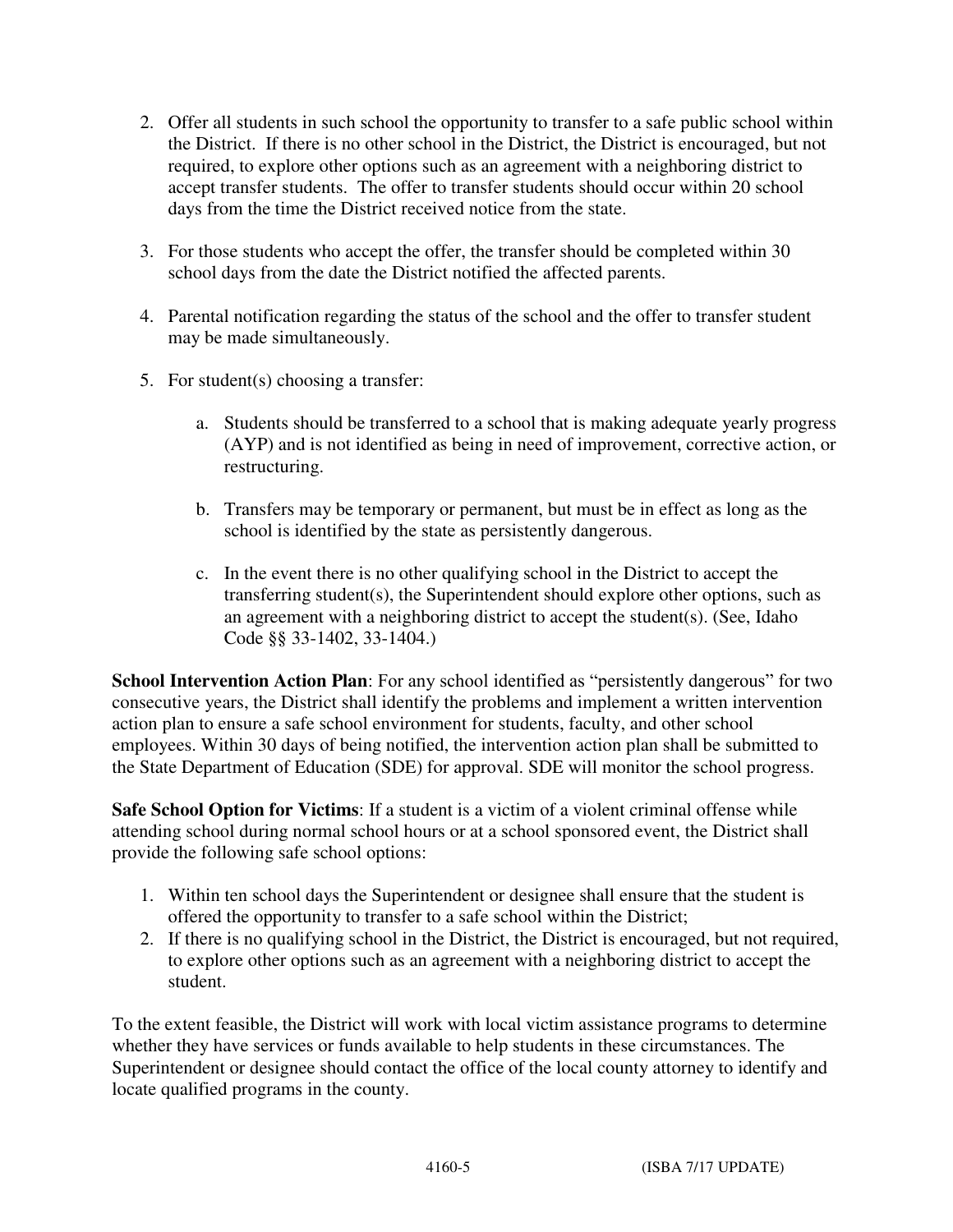- 2. Offer all students in such school the opportunity to transfer to a safe public school within the District. If there is no other school in the District, the District is encouraged, but not required, to explore other options such as an agreement with a neighboring district to accept transfer students. The offer to transfer students should occur within 20 school days from the time the District received notice from the state.
- 3. For those students who accept the offer, the transfer should be completed within 30 school days from the date the District notified the affected parents.
- 4. Parental notification regarding the status of the school and the offer to transfer student may be made simultaneously.
- 5. For student(s) choosing a transfer:
	- a. Students should be transferred to a school that is making adequate yearly progress (AYP) and is not identified as being in need of improvement, corrective action, or restructuring.
	- b. Transfers may be temporary or permanent, but must be in effect as long as the school is identified by the state as persistently dangerous.
	- c. In the event there is no other qualifying school in the District to accept the transferring student(s), the Superintendent should explore other options, such as an agreement with a neighboring district to accept the student(s). (See, Idaho Code §§ 33-1402, 33-1404.)

School Intervention Action Plan: For any school identified as "persistently dangerous" for two consecutive years, the District shall identify the problems and implement a written intervention action plan to ensure a safe school environment for students, faculty, and other school employees. Within 30 days of being notified, the intervention action plan shall be submitted to the State Department of Education (SDE) for approval. SDE will monitor the school progress.

**Safe School Option for Victims**: If a student is a victim of a violent criminal offense while attending school during normal school hours or at a school sponsored event, the District shall provide the following safe school options:

- 1. Within ten school days the Superintendent or designee shall ensure that the student is offered the opportunity to transfer to a safe school within the District;
- 2. If there is no qualifying school in the District, the District is encouraged, but not required, to explore other options such as an agreement with a neighboring district to accept the student.

To the extent feasible, the District will work with local victim assistance programs to determine whether they have services or funds available to help students in these circumstances. The Superintendent or designee should contact the office of the local county attorney to identify and locate qualified programs in the county.